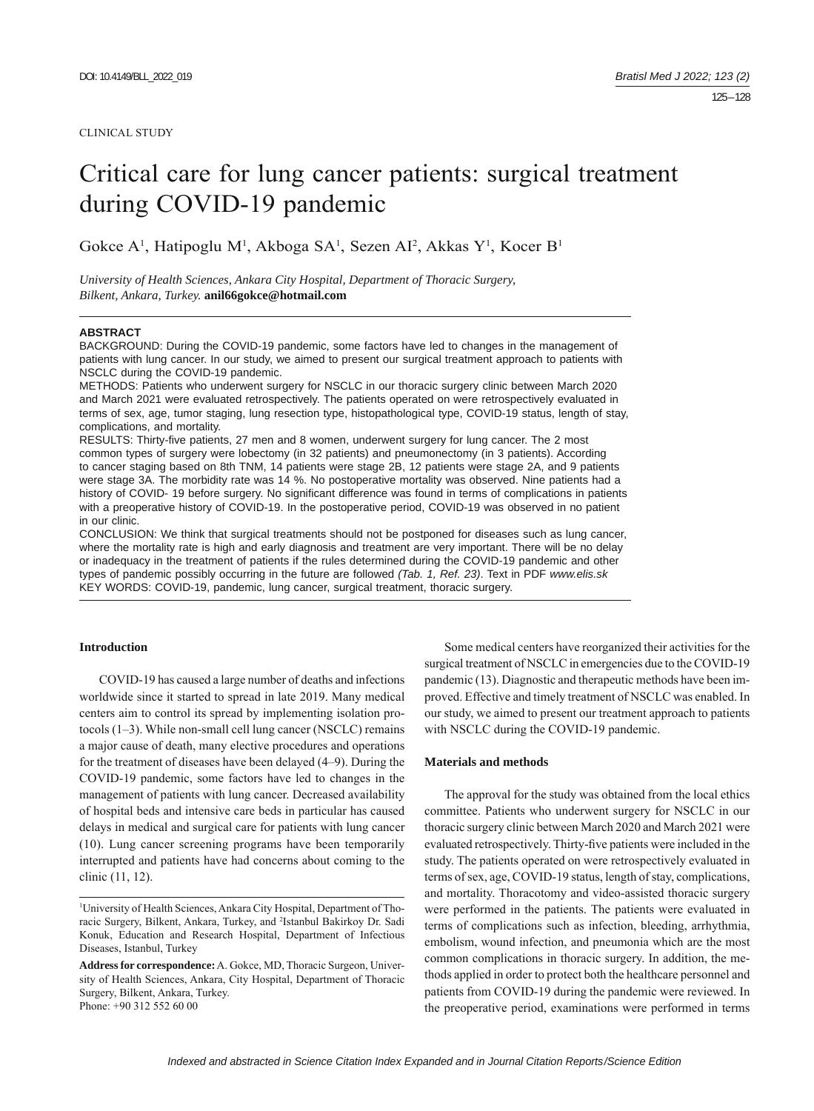#### CLINICAL STUDY

# Critical care for lung cancer patients: surgical treatment during COVID-19 pandemic

Gokce A<sup>1</sup>, Hatipoglu M<sup>1</sup>, Akboga SA<sup>1</sup>, Sezen AI<sup>2</sup>, Akkas Y<sup>1</sup>, Kocer B<sup>1</sup>

*University of Health Sciences, Ankara City Hospital, Department of Thoracic Surgery, Bilkent, Ankara, Turkey.* **anil66gokce@hotmail.com**

#### **ABSTRACT**

BACKGROUND: During the COVID-19 pandemic, some factors have led to changes in the management of patients with lung cancer. In our study, we aimed to present our surgical treatment approach to patients with NSCLC during the COVID-19 pandemic.

METHODS: Patients who underwent surgery for NSCLC in our thoracic surgery clinic between March 2020 and March 2021 were evaluated retrospectively. The patients operated on were retrospectively evaluated in terms of sex, age, tumor staging, lung resection type, histopathological type, COVID-19 status, length of stay, complications, and mortality.

RESULTS: Thirty-five patients, 27 men and 8 women, underwent surgery for lung cancer. The 2 most common types of surgery were lobectomy (in 32 patients) and pneumonectomy (in 3 patients). According to cancer staging based on 8th TNM, 14 patients were stage 2B, 12 patients were stage 2A, and 9 patients were stage 3A. The morbidity rate was 14 %. No postoperative mortality was observed. Nine patients had a history of COVID-19 before surgery. No significant difference was found in terms of complications in patients with a preoperative history of COVID-19. In the postoperative period, COVID-19 was observed in no patient in our clinic.

CONCLUSION: We think that surgical treatments should not be postponed for diseases such as lung cancer, where the mortality rate is high and early diagnosis and treatment are very important. There will be no delay or inadequacy in the treatment of patients if the rules determined during the COVID-19 pandemic and other types of pandemic possibly occurring in the future are followed *(Tab. 1, Ref. 23)*. Text in PDF *www.elis.sk* KEY WORDS: COVID-19, pandemic, lung cancer, surgical treatment, thoracic surgery.

#### **Introduction**

COVID-19 has caused a large number of deaths and infections worldwide since it started to spread in late 2019. Many medical centers aim to control its spread by implementing isolation protocols (1–3). While non-small cell lung cancer (NSCLC) remains a major cause of death, many elective procedures and operations for the treatment of diseases have been delayed (4–9). During the COVID-19 pandemic, some factors have led to changes in the management of patients with lung cancer. Decreased availability of hospital beds and intensive care beds in particular has caused delays in medical and surgical care for patients with lung cancer (10). Lung cancer screening programs have been temporarily interrupted and patients have had concerns about coming to the clinic (11, 12).

Some medical centers have reorganized their activities for the surgical treatment of NSCLC in emergencies due to the COVID-19 pandemic (13). Diagnostic and therapeutic methods have been improved. Effective and timely treatment of NSCLC was enabled. In our study, we aimed to present our treatment approach to patients with NSCLC during the COVID-19 pandemic.

#### **Materials and methods**

The approval for the study was obtained from the local ethics committee. Patients who underwent surgery for NSCLC in our thoracic surgery clinic between March 2020 and March 2021 were evaluated retrospectively. Thirty-five patients were included in the study. The patients operated on were retrospectively evaluated in terms of sex, age, COVID-19 status, length of stay, complications, and mortality. Thoracotomy and video-assisted thoracic surgery were performed in the patients. The patients were evaluated in terms of complications such as infection, bleeding, arrhythmia, embolism, wound infection, and pneumonia which are the most common complications in thoracic surgery. In addition, the methods applied in order to protect both the healthcare personnel and patients from COVID-19 during the pandemic were reviewed. In the preoperative period, examinations were performed in terms

<sup>1</sup> University of Health Sciences, Ankara City Hospital, Department of Thoracic Surgery, Bilkent, Ankara, Turkey, and 2 Istanbul Bakirkoy Dr. Sadi Konuk, Education and Research Hospital, Department of Infectious Diseases, Istanbul, Turkey

**Address for correspondence:** A. Gokce, MD, Thoracic Surgeon, University of Health Sciences, Ankara, City Hospital, Department of Thoracic Surgery, Bilkent, Ankara, Turkey. Phone: +90 312 552 60 00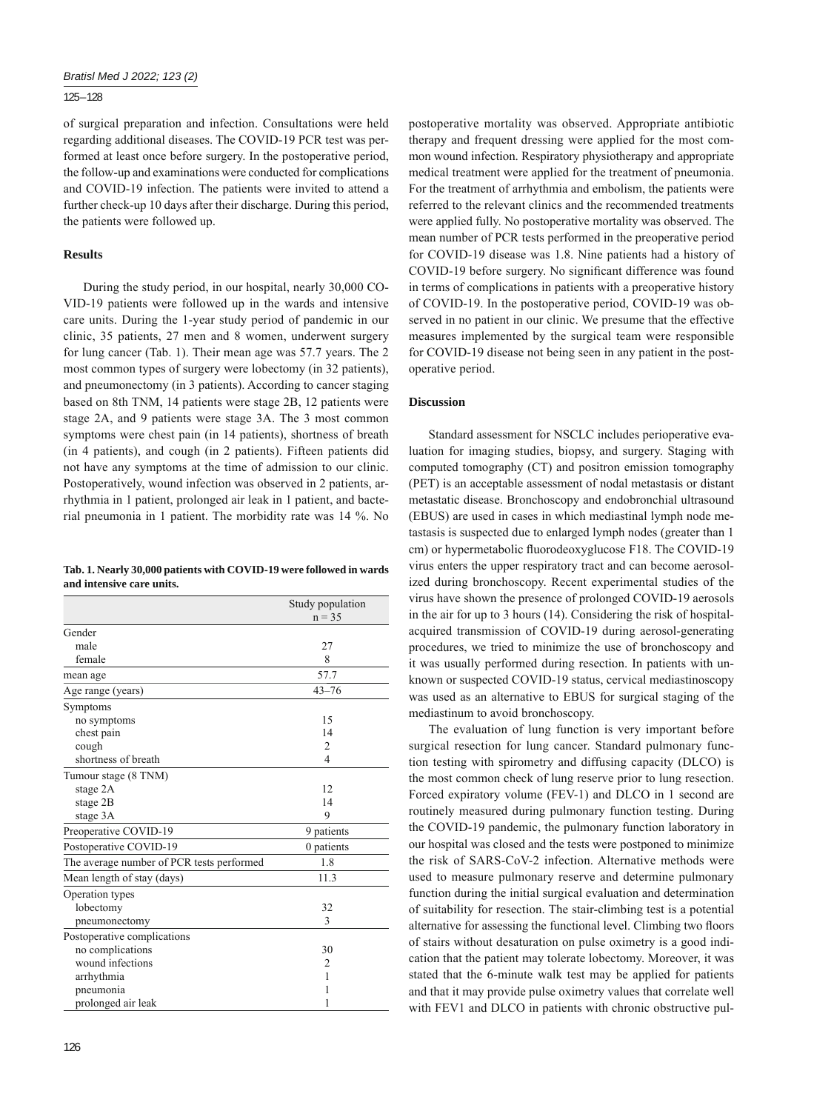## 125 – 128

of surgical preparation and infection. Consultations were held regarding additional diseases. The COVID-19 PCR test was performed at least once before surgery. In the postoperative period, the follow-up and examinations were conducted for complications and COVID-19 infection. The patients were invited to attend a further check-up 10 days after their discharge. During this period, the patients were followed up.

## **Results**

During the study period, in our hospital, nearly 30,000 CO-VID-19 patients were followed up in the wards and intensive care units. During the 1-year study period of pandemic in our clinic, 35 patients, 27 men and 8 women, underwent surgery for lung cancer (Tab. 1). Their mean age was 57.7 years. The 2 most common types of surgery were lobectomy (in 32 patients), and pneumonectomy (in 3 patients). According to cancer staging based on 8th TNM, 14 patients were stage 2B, 12 patients were stage 2A, and 9 patients were stage 3A. The 3 most common symptoms were chest pain (in 14 patients), shortness of breath (in 4 patients), and cough (in 2 patients). Fifteen patients did not have any symptoms at the time of admission to our clinic. Postoperatively, wound infection was observed in 2 patients, arrhythmia in 1 patient, prolonged air leak in 1 patient, and bacterial pneumonia in 1 patient. The morbidity rate was 14 %. No

**Tab. 1. Nearly 30,000 patients with COVID-19 were followed in wards and intensive care units.**

|                                           | Study population<br>$n = 35$ |
|-------------------------------------------|------------------------------|
|                                           |                              |
| Gender                                    |                              |
| male                                      | 27                           |
| female                                    | 8                            |
| mean age                                  | 57.7                         |
| Age range (years)                         | $43 - 76$                    |
| Symptoms                                  |                              |
| no symptoms                               | 15                           |
| chest pain                                | 14                           |
| cough                                     | $\overline{2}$               |
| shortness of breath                       | $\overline{4}$               |
| Tumour stage (8 TNM)                      |                              |
| stage 2A                                  | 12                           |
| stage 2B                                  | 14                           |
| stage 3A                                  | 9                            |
| Preoperative COVID-19                     | 9 patients                   |
| Postoperative COVID-19                    | 0 patients                   |
| The average number of PCR tests performed | 1.8                          |
| Mean length of stay (days)                | 11.3                         |
| Operation types                           |                              |
| lobectomy                                 | 32                           |
| pneumonectomy                             | 3                            |
| Postoperative complications               |                              |
| no complications                          | 30                           |
| wound infections                          | $\overline{2}$               |
| arrhythmia                                | 1                            |
| pneumonia                                 | 1                            |
| prolonged air leak                        | 1                            |

postoperative mortality was observed. Appropriate antibiotic therapy and frequent dressing were applied for the most common wound infection. Respiratory physiotherapy and appropriate medical treatment were applied for the treatment of pneumonia. For the treatment of arrhythmia and embolism, the patients were referred to the relevant clinics and the recommended treatments were applied fully. No postoperative mortality was observed. The mean number of PCR tests performed in the preoperative period for COVID-19 disease was 1.8. Nine patients had a history of COVID-19 before surgery. No significant difference was found in terms of complications in patients with a preoperative history of COVID-19. In the postoperative period, COVID-19 was observed in no patient in our clinic. We presume that the effective measures implemented by the surgical team were responsible for COVID-19 disease not being seen in any patient in the postoperative period.

## **Discussion**

Standard assessment for NSCLC includes perioperative evaluation for imaging studies, biopsy, and surgery. Staging with computed tomography (CT) and positron emission tomography (PET) is an acceptable assessment of nodal metastasis or distant metastatic disease. Bronchoscopy and endobronchial ultrasound (EBUS) are used in cases in which mediastinal lymph node metastasis is suspected due to enlarged lymph nodes (greater than 1 cm) or hypermetabolic fluorodeoxyglucose F18. The COVID-19 virus enters the upper respiratory tract and can become aerosolized during bronchoscopy. Recent experimental studies of the virus have shown the presence of prolonged COVID-19 aerosols in the air for up to 3 hours (14). Considering the risk of hospitalacquired transmission of COVID-19 during aerosol-generating procedures, we tried to minimize the use of bronchoscopy and it was usually performed during resection. In patients with unknown or suspected COVID-19 status, cervical mediastinoscopy was used as an alternative to EBUS for surgical staging of the mediastinum to avoid bronchoscopy.

The evaluation of lung function is very important before surgical resection for lung cancer. Standard pulmonary function testing with spirometry and diffusing capacity (DLCO) is the most common check of lung reserve prior to lung resection. Forced expiratory volume (FEV-1) and DLCO in 1 second are routinely measured during pulmonary function testing. During the COVID-19 pandemic, the pulmonary function laboratory in our hospital was closed and the tests were postponed to minimize the risk of SARS-CoV-2 infection. Alternative methods were used to measure pulmonary reserve and determine pulmonary function during the initial surgical evaluation and determination of suitability for resection. The stair-climbing test is a potential alternative for assessing the functional level. Climbing two floors of stairs without desaturation on pulse oximetry is a good indication that the patient may tolerate lobectomy. Moreover, it was stated that the 6-minute walk test may be applied for patients and that it may provide pulse oximetry values that correlate well with FEV1 and DLCO in patients with chronic obstructive pul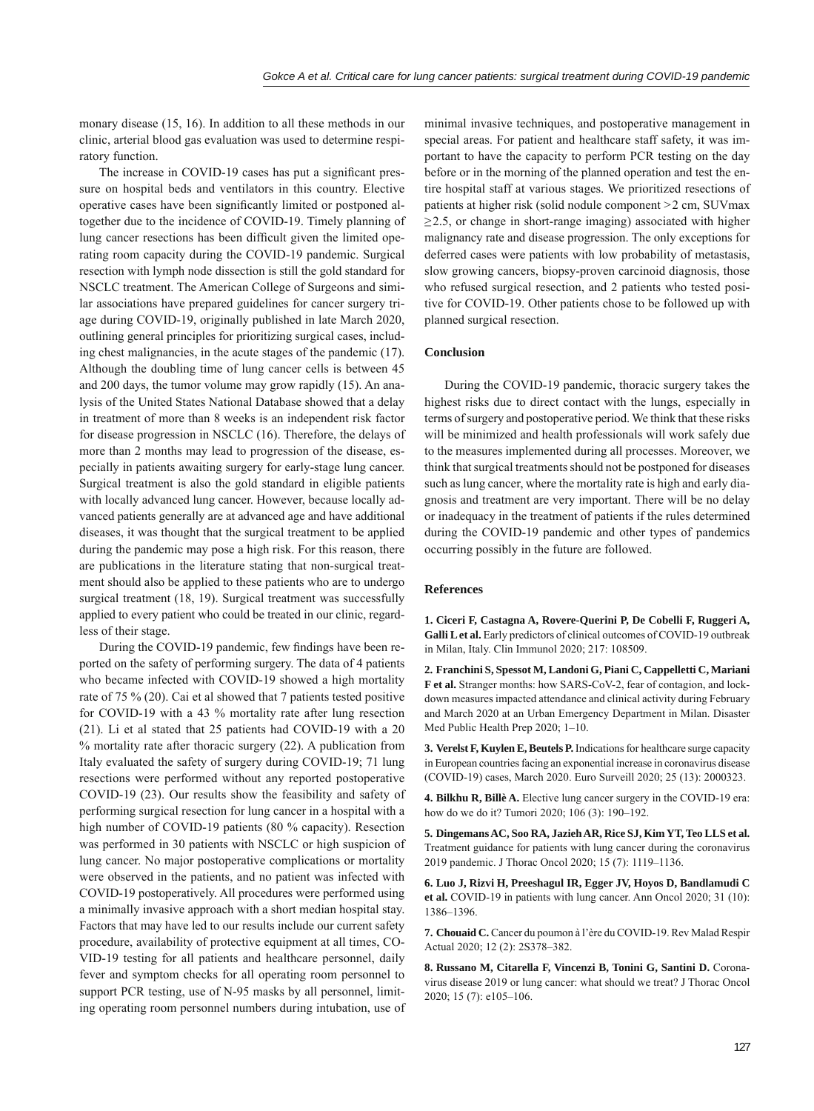monary disease (15, 16). In addition to all these methods in our clinic, arterial blood gas evaluation was used to determine respiratory function.

The increase in COVID-19 cases has put a significant pressure on hospital beds and ventilators in this country. Elective operative cases have been significantly limited or postponed altogether due to the incidence of COVID-19. Timely planning of lung cancer resections has been difficult given the limited operating room capacity during the COVID-19 pandemic. Surgical resection with lymph node dissection is still the gold standard for NSCLC treatment. The American College of Surgeons and similar associations have prepared guidelines for cancer surgery triage during COVID-19, originally published in late March 2020, outlining general principles for prioritizing surgical cases, including chest malignancies, in the acute stages of the pandemic (17). Although the doubling time of lung cancer cells is between 45 and 200 days, the tumor volume may grow rapidly (15). An analysis of the United States National Database showed that a delay in treatment of more than 8 weeks is an independent risk factor for disease progression in NSCLC (16). Therefore, the delays of more than 2 months may lead to progression of the disease, especially in patients awaiting surgery for early-stage lung cancer. Surgical treatment is also the gold standard in eligible patients with locally advanced lung cancer. However, because locally advanced patients generally are at advanced age and have additional diseases, it was thought that the surgical treatment to be applied during the pandemic may pose a high risk. For this reason, there are publications in the literature stating that non-surgical treatment should also be applied to these patients who are to undergo surgical treatment (18, 19). Surgical treatment was successfully applied to every patient who could be treated in our clinic, regardless of their stage.

During the COVID-19 pandemic, few findings have been reported on the safety of performing surgery. The data of 4 patients who became infected with COVID-19 showed a high mortality rate of 75 % (20). Cai et al showed that 7 patients tested positive for COVID-19 with a 43 % mortality rate after lung resection (21). Li et al stated that 25 patients had COVID-19 with a 20 % mortality rate after thoracic surgery (22). A publication from Italy evaluated the safety of surgery during COVID-19; 71 lung resections were performed without any reported postoperative COVID-19 (23). Our results show the feasibility and safety of performing surgical resection for lung cancer in a hospital with a high number of COVID-19 patients (80 % capacity). Resection was performed in 30 patients with NSCLC or high suspicion of lung cancer. No major postoperative complications or mortality were observed in the patients, and no patient was infected with COVID-19 postoperatively. All procedures were performed using a minimally invasive approach with a short median hospital stay. Factors that may have led to our results include our current safety procedure, availability of protective equipment at all times, CO-VID-19 testing for all patients and healthcare personnel, daily fever and symptom checks for all operating room personnel to support PCR testing, use of N-95 masks by all personnel, limiting operating room personnel numbers during intubation, use of

minimal invasive techniques, and postoperative management in special areas. For patient and healthcare staff safety, it was important to have the capacity to perform PCR testing on the day before or in the morning of the planned operation and test the entire hospital staff at various stages. We prioritized resections of patients at higher risk (solid nodule component >2 cm, SUVmax  $\geq$ 2.5, or change in short-range imaging) associated with higher malignancy rate and disease progression. The only exceptions for deferred cases were patients with low probability of metastasis, slow growing cancers, biopsy-proven carcinoid diagnosis, those who refused surgical resection, and 2 patients who tested positive for COVID-19. Other patients chose to be followed up with planned surgical resection.

## **Conclusion**

During the COVID-19 pandemic, thoracic surgery takes the highest risks due to direct contact with the lungs, especially in terms of surgery and postoperative period. We think that these risks will be minimized and health professionals will work safely due to the measures implemented during all processes. Moreover, we think that surgical treatments should not be postponed for diseases such as lung cancer, where the mortality rate is high and early diagnosis and treatment are very important. There will be no delay or inadequacy in the treatment of patients if the rules determined during the COVID-19 pandemic and other types of pandemics occurring possibly in the future are followed.

### **References**

**1. Ciceri F, Castagna A, Rovere-Querini P, De Cobelli F, Ruggeri A, Galli L et al.** Early predictors of clinical outcomes of COVID-19 outbreak in Milan, Italy. Clin Immunol 2020; 217: 108509.

**2. Franchini S, Spessot M, Landoni G, Piani C, Cappelletti C, Mariani F et al.** Stranger months: how SARS-CoV-2, fear of contagion, and lockdown measures impacted attendance and clinical activity during February and March 2020 at an Urban Emergency Department in Milan. Disaster Med Public Health Prep 2020; 1–10.

**3. Verelst F, Kuylen E, Beutels P.** Indications for healthcare surge capacity in European countries facing an exponential increase in coronavirus disease (COVID-19) cases, March 2020. Euro Surveill 2020; 25 (13): 2000323.

**4. Bilkhu R, Billè A.** Elective lung cancer surgery in the COVID-19 era: how do we do it? Tumori 2020; 106 (3): 190–192.

**5. Dingemans AC, Soo RA, Jazieh AR, Rice SJ, Kim YT, Teo LLS et al.** Treatment guidance for patients with lung cancer during the coronavirus 2019 pandemic. J Thorac Oncol 2020; 15 (7): 1119–1136.

**6. Luo J, Rizvi H, Preeshagul IR, Egger JV, Hoyos D, Bandlamudi C et al.** COVID-19 in patients with lung cancer. Ann Oncol 2020; 31 (10): 1386–1396.

**7. Chouaid C.** Cancer du poumon à l'ère du COVID-19. Rev Malad Respir Actual 2020; 12 (2): 2S378–382.

**8. Russano M, Citarella F, Vincenzi B, Tonini G, Santini D.** Coronavirus disease 2019 or lung cancer: what should we treat? J Thorac Oncol 2020; 15 (7): e105–106.